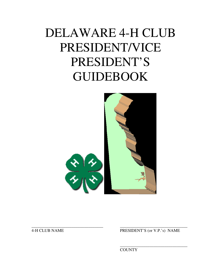# DELAWARE 4-H CLUB PRESIDENT/VICE PRESIDENT'S **GUIDEBOOK**



\_\_\_\_\_\_\_\_\_\_\_\_\_\_\_\_\_\_\_\_\_\_\_\_\_\_\_\_\_\_\_\_\_\_ \_\_\_\_\_\_\_\_\_\_\_\_\_\_\_\_\_\_\_\_\_\_\_\_\_\_\_\_\_\_\_\_

4-H CLUB NAME PRESIDENT'S (or V.P.'s) NAME

 $\overline{\phantom{a}}$  , and the contract of the contract of the contract of the contract of the contract of the contract of the contract of the contract of the contract of the contract of the contract of the contract of the contrac **COUNTY**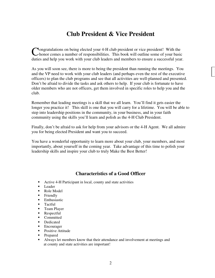# **Club President & Vice President**

Congratulations on being elected your 4-H club president or vice president! With the honor comes a number of responsibilities. This book will outline some of your basic honor comes a number of responsibilities. This book will outline some of your basic duties and help you work with your club leaders and members to ensure a successful year.

As you will soon see, there is more to being the president than running the meetings. You and the VP need to work with your club leaders (and perhaps even the rest of the executive officers) to plan the club programs and see that all activities are well-planned and presented. Don't be afraid to divide the tasks and ask others to help. If your club is fortunate to have older members who are not officers, get them involved in specific roles to help you and the club.

Remember that leading meetings is a skill that we all learn. You'll find it gets easier the longer you practice it! This skill is one that you will carry for a lifetime. You will be able to step into leadership positions in the community, in your business, and in your faith community using the skills you'll learn and polish as the 4-H Club President.

Finally, don't be afraid to ask for help from your advisors or the 4-H Agent. We all admire you for being elected President and want you to succeed.

You have a wonderful opportunity to learn more about your club, your members, and most importantly, about yourself in the coming year. Take advantage of this time to polish your leadership skills and inspire your club to truly Make the Best Better!

# **Characteristics of a Good Officer**

- Active 4-H Participant in local, county and state activities
- $\blacksquare$  Leader
- Role Model
- **Friendly**
- **Enthusiastic**
- **Tactful**
- **Team Player**
- Respectful
- Committed
- Dedicated
- **Encourager**
- **Positive Attitude**
- Prepared
- Always let members know that their attendance and involvement at meetings and at county and state activities are important!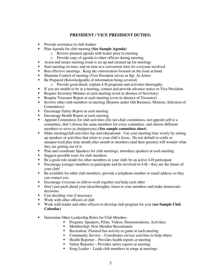# **PRESIDENT / VICE PRESIDENT DUTIES:**

- Provide assistance to club leaders
- Plan Agenda for club meeting **(See Sample Agenda)**
	- o Review planned agenda with leader prior to meeting
	- o Provide copy of agenda to other officers during meeting
- Assist and insure meeting room is set up and cleaned up for meetings
- Start meeting on time; end on time at a convenient time for everyone involved
- Run effective meetings. Keep the conversation focused on the issue at hand.
- Maintain Control of meeting (Vice President serves as Sgt. At Arms)
- Be Prepared (Knowledgeable of information being covered)
	- o Provide good detail; explain 4-H programs and activities thoroughly.
- If you are unable to be at a meeting, contact and provide advance notice to Vice President.
- Require Secretary Minutes at each meeting (even in absence of Secretary)
- Require Treasurer Report at each meeting (even in absence of Treasurer)
- Involve other club members in meeting (Reports under Old Business, Motions, Selection of Committees)
- **Encourage Safety Report at each meeting**
- Encourage Health Report at each meeting
- **Appoint Committees for club activities (Do not chair committees, nor appoint self to a** committee, don't choose the same members for every committee, and choose different members to serve as chairpersons) **(See sample committee sheet)**
- Make meeting/club activities fun and educational. Use your meeting time wisely by setting up speakers or activities that relate to your club's focus. Do not default to crafts or unsupervised play time month after month or members (and their parents) will wonder what they are getting out of it.
- Plan and coordinate Speakers for club meetings; introduce speakers at each meeting
- Suggest possible tours for club members
- Be a good role model for other members in your club; be an active 4-H participant
- Encourage younger members to participate and be involved in 4-H—they are the future of your club!
- Be available for other club members; provide a telephone number or email address so they can contact you
- **Encourage everyone in club to work together and help each other**
- Don't just push ahead your ideas/thoughts; listen to your members and make democratic decisions.
- Cast deciding vote if necessary
- Work with other officers of club
- Work with leader and other officers to develop club program for year **(see Sample Club Calendar)**
- Determine Other Leadership Roles for Club Membes:
	- **Program: Speakers, Films, Videos, Demonstrations, Activities**
	- **Membership: New Member Recruitment**
	- Recreation: *Planned* fun activity or game at each meeting
	- Community Service Coordinates service activities to help others
	- $\blacksquare$  Health Reporter Provides health reports at meeting
	- Safety Reporter Provides safety reports at meeting
	- Song Leader Leads club members in songs at meetings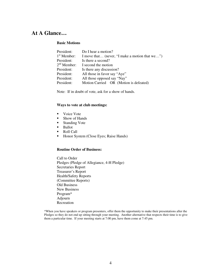# **At A Glance…**

## **Basic Motions**

| President:    | Do I hear a motion?                            |
|---------------|------------------------------------------------|
| $1st$ Member: | I move that (never, "I make a motion that we") |
| President:    | Is there a second?                             |
| $2nd$ Member: | I second the motion                            |
| President:    | Is there any discussion?                       |
| President:    | All those in favor say "Aye"                   |
| President:    | All those opposed say "Nay"                    |
| President:    | Motion Carried OR (Motion is defeated)         |

Note: If in doubt of vote, ask for a show of hands.

### **Ways to vote at club meetings:**

- Voice Vote
- **Show of Hands**
- **Standing Vote**
- **Ballot**
- Roll Call
- Honor System (Close Eyes; Raise Hands)

# **Routine Order of Business:**

Call to Order Pledges (Pledge of Allegiance, 4-H Pledge) Secretaries Report Treasurer's Report Health/Safety Reports (Committee Reports) Old Business New Business Program\* Adjourn Recreation

\*When you have speakers or program presenters, offer them the opportunity to make their presentations after the Pledges so they do not end up sitting through your meeting. Another alternative that respects their time is to give them a particular time. If your meeting starts at 7:00 pm, have them come at 7:45 pm.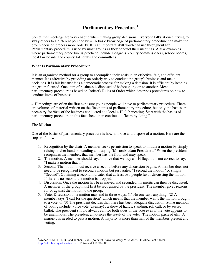# **Parliamentary Procedure<sup>1</sup>**

Sometimes meetings are very chaotic when making group decisions. Everyone talks at once, trying to sway others to a different point of view. A basic knowledge of parliamentary procedure can make the group decision process more orderly. It is an important skill youth can use throughout life. Parliamentary procedure is used by most groups as they conduct their meetings. A few examples where parliamentary procedure is practiced include Congress, county commissioners, school boards, local fair boards and county 4-H clubs and committees.

## **What Is Parliamentary Procedure?**

It is an organized method for a group to accomplish their goals in an effective, fair, and efficient manner. It is effective by providing an orderly way to conduct the group's business and make decisions. It is fair because it is a democratic process for making a decision. It is efficient by keeping the group focused. One item of business is disposed of before going on to another. Most parliamentary procedure is based on Robert's Rules of Order which describes procedures on how to conduct items of business.

4-H meetings are often the first exposure young people will have to parliamentary procedure. There are volumes of material written on the fine points of parliamentary procedure, but only the basics are necessary for 90% of the business conducted at a local 4-H club meeting. Start with the basics of parliamentary procedure in this fact sheet, then continue to "learn by doing."

## **The Motion**

One of the basics of parliamentary procedure is how to move and dispose of a motion. Here are the steps to follow:

- 1. Recognition by the chair. A member seeks permission to speak to initiate a motion by simply raising his/her hand or standing and saying "Mister/Madam President..." When the president recognizes the member, that member has the floor and may speak.
- 2. The motion. A member should say, "I move that we buy a 4-H flag." It is not correct to say, "I make a motion that ..."
- 3. Second. The motion must receive a second before any discussion begins. A member does not need to be recognized to second a motion but just states, "I second the motion" or simply "Second". Obtaining a second indicates that at least two people favor discussing the motion. If there is no second, the motion is dropped.
- 4. Discussion. Once the motion has been moved and seconded, its merits can then be discussed. A member of the group must first be recognized by the president. The member gives reasons for or against the motion to the group.
- 5. Vote. Discussion on a motion may end in three ways: (1) No one says anything; (2) A member says "I call for the question" which means that the member wants the motion brought to a vote, or (3) The president decides that there has been adequate discussion. Some methods of voting include: voice vote (aye/nay) , a show of hands, standing, roll call, or by secret ballot. The president should always call for both sides of the vote even if the vote appears to be unanimous. The president announces the result of the vote. "The motion passes/fails." A majority is needed to pass a motion. A majority is more than half of the members present and voting.

<sup>1</sup>Archer, T.M., Dill, D., and Weber, E.M., (no date). *Parliamentary Procedure*. Ohioline Fact Sheets. http://ohioline.ag.ohio-state.edu. Retrieved 11/07/2003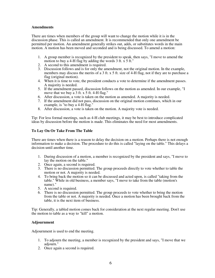## **Amendments**

There are times when members of the group will want to change the motion while it is in the discussion phase. This is called an amendment. It is recommended that only one amendment be permitted per motion. An amendment generally strikes out, adds, or substitutes words in the main motion. A motion has been moved and seconded and is being discussed. To amend a motion:

- 1. A group member is recognized by the president to speak, then says, "I move to amend the motion to buy a 4-H flag by adding the words 3 ft. x 5 ft."
- 2. A second to this amendment is required.
- 3. Discussion follows and is for only the amendment, not the original motion. In the example, members may discuss the merits of a 3 ft. x 5 ft. size of 4-H flag, not if they are to purchase a flag (original motion).
- 4. When it is time to vote, the president conducts a vote to determine if the amendment passes. A majority is needed.
- 5. If the amendment passed, discussion follows on the motion as amended. In our example, "I move that we buy a 3 ft. x 5 ft. 4-H flag."
- 6. After discussion, a vote is taken on the motion as amended. A majority is needed.
- 7. If the amendment did not pass, discussion on the original motion continues, which in our example, is "to buy a 4-H flag."
- 8. After discussion, a vote is taken on the motion. A majority vote is needed.

Tip: For less formal meetings, such as 4-H club meetings, it may be best to introduce complicated ideas by discussion before the motion is made. This eliminates the need for most amendments.

## **To Lay On Or Take From The Table**

There are times when there is a reason to delay the decision on a motion. Perhaps there is not enough information to make a decision. The procedure to do this is called "laying on the table." This delays a decision until another time.

- 1. During discussion of a motion, a member is recognized by the president and says, "I move to lay the motion on the table."
- 2. Once again, a second is required.
- 3. There is no discussion permitted. The group proceeds directly to vote whether to table the motion or not. A majority is needed.
- 4. To bring back the motion so it can be discussed and acted upon, is called "taking from the table." While in old business, a member says, "I move to take from the table (motion's name)."
- 5. A second is required.
- 6. There is no discussion permitted. The group proceeds to vote whether to bring the motion from the table or not. A majority is needed. Once a motion has been brought back from the table, it is the next item of business.

Tip: Generally, a tabled motion comes back for consideration at the next regular meeting. Don't use the motion to table as a way to "kill" a motion.

# **Adjournment**

Adjournment is used to end the meeting.

- 1. To adjourn the meeting, a member is recognized by the president and says, "I move that we adjourn."
- 2. Once again a second is required.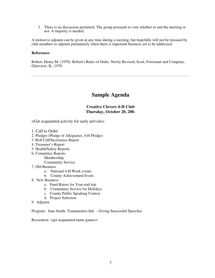3. There is no discussion permitted. The group proceeds to vote whether to end the meeting or not. A majority is needed.

A motion to adjourn can be given at any time during a meeting, but hopefully will not be misused by club members to adjourn prematurely when there is important business yet to be addressed.

## **References**

Robert, Henry M. (1970). Robert's Rules of Order, Newly Revised, Scott, Foresman and Company, Glenview, IL, 1970.

# **Sample Agenda**

# **Creative Clovers 4-H Club Thursday, October 20, 200-**

<Get acquainted activity for early arrivals>

- 1. Call to Order
- 2. Pledges (Pledge of Allegiance, 4-H Pledge)
- 3. Roll Call/Secretaries Report
- 4. Treasurer's Report
- 5. Health/Safety Reports
- 6. Committee Reports
	- Membership
		- Community Service
- 7. Old Business
	- a. National 4-H Week events
	- b. County Achievement Event
- 8. New Business
	- a. Fund-Raiser for Year-end trip
	- b. Community Service for Holidays
	- c. County Public Speaking Contest
	- d. Project Selection
- 9. Adjourn

Program: June Smith, Toastmasters Intl. – Giving Successful Speeches

Recreation: <get acquainted name-games>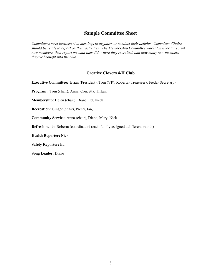# **Sample Committee Sheet**

*Committees meet between club meetings to organize or conduct their activity. Committee Chairs should be ready to report on their activities. The Membership Committee works together to recruit new members, then report on what they did, where they recruited, and how many new members they've brought into the club.* 

# **Creative Clovers 4-H Club**

**Executive Committee:** Brian (President), Tom (VP), Roberta (Treasurer), Freda (Secretary)

**Program:** Tom (chair), Anna, Concetta, Tiffani

**Membership:** Helen (chair), Diane, Ed, Freda

**Recreation:** Ginger (chair), Preeti, Jan,

**Community Service:** Anna (chair), Diane, Mary, Nick

**Refreshments:** Roberta (coordinator) (each family assigned a different month)

**Health Reporter:** Nick

**Safety Reporter:** Ed

**Song Leader:** Diane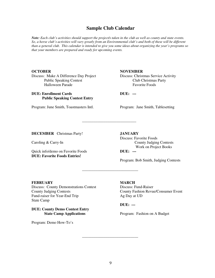# **Sample Club Calendar**

*Note: Each club's activities should support the project/s taken in the club as well as county and state events. So, a horse club's activities will vary greatly from an Environmental club's and both of these will be different than a general club. This calendar is intended to give you some ideas about organizing the year's programs so that your members are prepared and ready for upcoming events.* 

Discuss: Make A Difference Day Project Discuss: Christmas Service Activity Public Speaking Contest Club Christmas Party Halloween Parade Favorite Foods

# **DUE: Enrollment Cards DUE: ---Public Speaking Contest Entry**

Program: June Smith, Toastmasters Intl. Program: Jane Smith, Tablesetting

\_\_\_\_\_\_\_\_\_\_\_\_\_\_\_\_\_\_\_\_\_\_\_\_\_\_\_\_

 $\frac{1}{2}$  ,  $\frac{1}{2}$  ,  $\frac{1}{2}$  ,  $\frac{1}{2}$  ,  $\frac{1}{2}$  ,  $\frac{1}{2}$  ,  $\frac{1}{2}$  ,  $\frac{1}{2}$  ,  $\frac{1}{2}$  ,  $\frac{1}{2}$  ,  $\frac{1}{2}$  ,  $\frac{1}{2}$  ,  $\frac{1}{2}$  ,  $\frac{1}{2}$  ,  $\frac{1}{2}$  ,  $\frac{1}{2}$  ,  $\frac{1}{2}$  ,  $\frac{1}{2}$  ,  $\frac{1$ 

 $\frac{1}{2}$  ,  $\frac{1}{2}$  ,  $\frac{1}{2}$  ,  $\frac{1}{2}$  ,  $\frac{1}{2}$  ,  $\frac{1}{2}$  ,  $\frac{1}{2}$  ,  $\frac{1}{2}$  ,  $\frac{1}{2}$  ,  $\frac{1}{2}$  ,  $\frac{1}{2}$  ,  $\frac{1}{2}$  ,  $\frac{1}{2}$  ,  $\frac{1}{2}$  ,  $\frac{1}{2}$  ,  $\frac{1}{2}$  ,  $\frac{1}{2}$  ,  $\frac{1}{2}$  ,  $\frac{1$ 

# **OCTOBER NOVEMBER**

**DECEMBER** Christmas Party! **JANUARY** 

Quick info/demo on Favorite Foods **DUE: Favorite Foods Entries!** 

 Discuss: Favorite Foods Caroling & Carry-In County Judging Contests Work on Project Books<br>DUE: ---

Program: Bob Smith, Judging Contests

# **FEBRUARY MARCH**

Discuss: County Demonstrations Contest Discuss: Fund-Raiser County Judging Contests County Fashion Revue/Consumer Event Fund-raiser for Year-End Trip Ag Day at UD State Camp

**DUE: County Demo Contest Entry** 

Program: Demo How-To's

 **DUE: ---** 

**State Camp Applications** Program: Fashion on A Budget